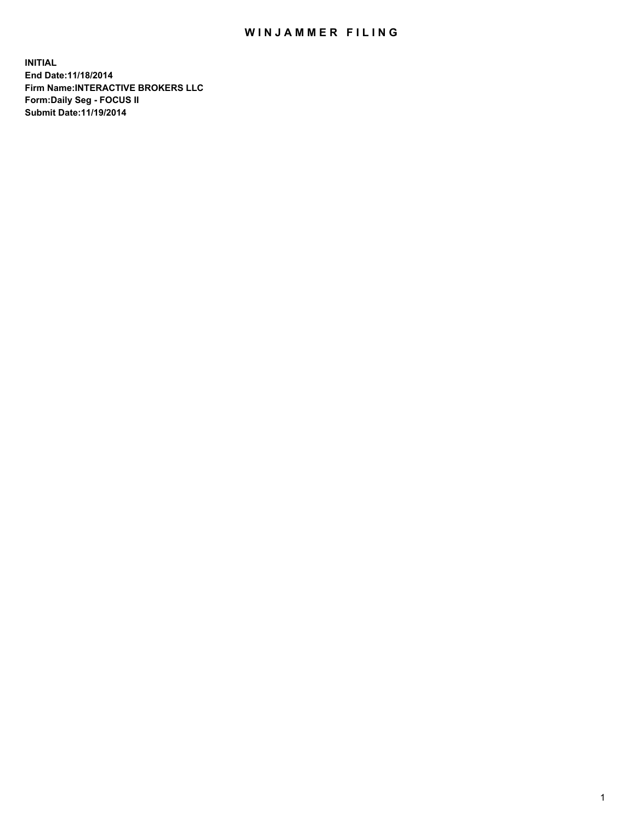## WIN JAMMER FILING

**INITIAL End Date:11/18/2014 Firm Name:INTERACTIVE BROKERS LLC Form:Daily Seg - FOCUS II Submit Date:11/19/2014**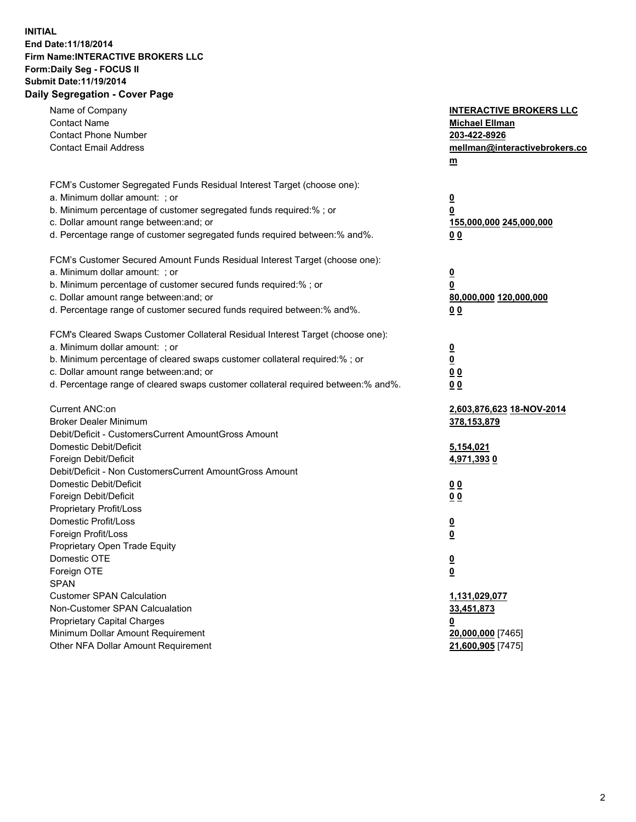## **INITIAL End Date:11/18/2014 Firm Name:INTERACTIVE BROKERS LLC Form:Daily Seg - FOCUS II Submit Date:11/19/2014 Daily Segregation - Cover Page**

| Name of Company<br><b>Contact Name</b><br><b>Contact Phone Number</b><br><b>Contact Email Address</b>                                                                                                                                                                                                                          | <b>INTERACTIVE BROKERS LLC</b><br><b>Michael Ellman</b><br>203-422-8926<br>mellman@interactivebrokers.co<br>m |
|--------------------------------------------------------------------------------------------------------------------------------------------------------------------------------------------------------------------------------------------------------------------------------------------------------------------------------|---------------------------------------------------------------------------------------------------------------|
| FCM's Customer Segregated Funds Residual Interest Target (choose one):<br>a. Minimum dollar amount: ; or<br>b. Minimum percentage of customer segregated funds required:% ; or<br>c. Dollar amount range between: and; or<br>d. Percentage range of customer segregated funds required between:% and%.                         | $\overline{\mathbf{0}}$<br>0<br>155,000,000 245,000,000<br>00                                                 |
| FCM's Customer Secured Amount Funds Residual Interest Target (choose one):<br>a. Minimum dollar amount: ; or<br>b. Minimum percentage of customer secured funds required:% ; or<br>c. Dollar amount range between: and; or<br>d. Percentage range of customer secured funds required between:% and%.                           | $\overline{\mathbf{0}}$<br>0<br>80,000,000 120,000,000<br>0 <sub>0</sub>                                      |
| FCM's Cleared Swaps Customer Collateral Residual Interest Target (choose one):<br>a. Minimum dollar amount: ; or<br>b. Minimum percentage of cleared swaps customer collateral required:% ; or<br>c. Dollar amount range between: and; or<br>d. Percentage range of cleared swaps customer collateral required between:% and%. | $\overline{\mathbf{0}}$<br><u>0</u><br>0 <sub>0</sub><br>0 <sub>0</sub>                                       |
| Current ANC:on<br><b>Broker Dealer Minimum</b><br>Debit/Deficit - CustomersCurrent AmountGross Amount<br>Domestic Debit/Deficit<br>Foreign Debit/Deficit                                                                                                                                                                       | 2,603,876,623 18-NOV-2014<br>378,153,879<br>5,154,021<br>4,971,3930                                           |
| Debit/Deficit - Non CustomersCurrent AmountGross Amount<br>Domestic Debit/Deficit<br>Foreign Debit/Deficit<br>Proprietary Profit/Loss<br>Domestic Profit/Loss                                                                                                                                                                  | 0 <sub>0</sub><br>0 <sub>0</sub><br>$\overline{\mathbf{0}}$                                                   |
| Foreign Profit/Loss<br>Proprietary Open Trade Equity<br>Domestic OTE<br>Foreign OTE<br><b>SPAN</b><br><b>Customer SPAN Calculation</b>                                                                                                                                                                                         | $\overline{\mathbf{0}}$<br>$\overline{\mathbf{0}}$<br><u>0</u><br>1,131,029,077                               |
| Non-Customer SPAN Calcualation<br><b>Proprietary Capital Charges</b><br>Minimum Dollar Amount Requirement<br>Other NFA Dollar Amount Requirement                                                                                                                                                                               | 33,451,873<br><u>0</u><br>20,000,000 [7465]<br>21,600,905 [7475]                                              |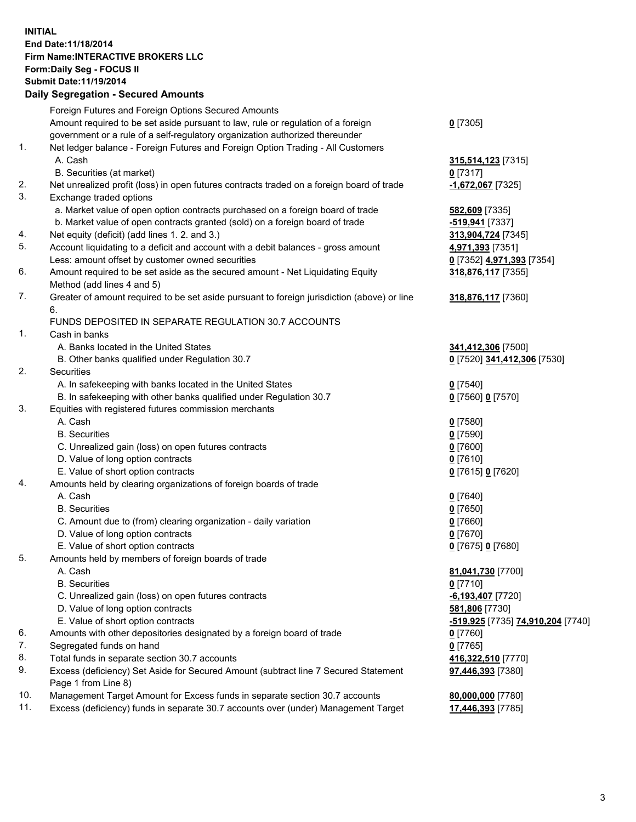## **INITIAL End Date:11/18/2014 Firm Name:INTERACTIVE BROKERS LLC Form:Daily Seg - FOCUS II Submit Date:11/19/2014 Daily Segregation - Secured Amounts**

|     | Dany Ocgregation - Oceanea Annoanta                                                         |                                   |
|-----|---------------------------------------------------------------------------------------------|-----------------------------------|
|     | Foreign Futures and Foreign Options Secured Amounts                                         |                                   |
|     | Amount required to be set aside pursuant to law, rule or regulation of a foreign            | $0$ [7305]                        |
|     | government or a rule of a self-regulatory organization authorized thereunder                |                                   |
| 1.  | Net ledger balance - Foreign Futures and Foreign Option Trading - All Customers             |                                   |
|     | A. Cash                                                                                     | 315,514,123 [7315]                |
|     | B. Securities (at market)                                                                   | $0$ [7317]                        |
| 2.  | Net unrealized profit (loss) in open futures contracts traded on a foreign board of trade   | $-1,672,067$ [7325]               |
| 3.  | Exchange traded options                                                                     |                                   |
|     | a. Market value of open option contracts purchased on a foreign board of trade              | 582,609 [7335]                    |
|     | b. Market value of open contracts granted (sold) on a foreign board of trade                | <mark>-519,941</mark> [7337]      |
| 4.  | Net equity (deficit) (add lines 1.2. and 3.)                                                | 313,904,724 [7345]                |
| 5.  | Account liquidating to a deficit and account with a debit balances - gross amount           | 4,971,393 [7351]                  |
|     | Less: amount offset by customer owned securities                                            | 0 [7352] 4,971,393 [7354]         |
| 6.  | Amount required to be set aside as the secured amount - Net Liquidating Equity              | 318,876,117 [7355]                |
|     | Method (add lines 4 and 5)                                                                  |                                   |
| 7.  | Greater of amount required to be set aside pursuant to foreign jurisdiction (above) or line | 318,876,117 [7360]                |
|     | 6.                                                                                          |                                   |
|     | FUNDS DEPOSITED IN SEPARATE REGULATION 30.7 ACCOUNTS                                        |                                   |
| 1.  | Cash in banks                                                                               |                                   |
|     | A. Banks located in the United States                                                       | 341,412,306 [7500]                |
|     | B. Other banks qualified under Regulation 30.7                                              | 0 [7520] 341,412,306 [7530]       |
| 2.  | Securities                                                                                  |                                   |
|     | A. In safekeeping with banks located in the United States                                   | $0$ [7540]                        |
|     | B. In safekeeping with other banks qualified under Regulation 30.7                          | 0 [7560] 0 [7570]                 |
| 3.  | Equities with registered futures commission merchants                                       |                                   |
|     | A. Cash                                                                                     | $0$ [7580]                        |
|     | <b>B.</b> Securities                                                                        | $0$ [7590]                        |
|     | C. Unrealized gain (loss) on open futures contracts                                         | $0$ [7600]                        |
|     | D. Value of long option contracts                                                           | $0$ [7610]                        |
|     | E. Value of short option contracts                                                          | 0 [7615] 0 [7620]                 |
| 4.  | Amounts held by clearing organizations of foreign boards of trade                           |                                   |
|     | A. Cash                                                                                     | $0$ [7640]                        |
|     | <b>B.</b> Securities                                                                        | $0$ [7650]                        |
|     | C. Amount due to (from) clearing organization - daily variation                             | $0$ [7660]                        |
|     | D. Value of long option contracts                                                           | $0$ [7670]                        |
|     | E. Value of short option contracts                                                          | 0 [7675] 0 [7680]                 |
| 5.  | Amounts held by members of foreign boards of trade                                          |                                   |
|     | A. Cash                                                                                     | 81,041,730 [7700]                 |
|     | <b>B.</b> Securities                                                                        | $0$ [7710]                        |
|     | C. Unrealized gain (loss) on open futures contracts                                         | $-6,193,407$ [7720]               |
|     | D. Value of long option contracts                                                           | 581,806 [7730]                    |
|     | E. Value of short option contracts                                                          | -519,925 [7735] 74,910,204 [7740] |
| 6.  | Amounts with other depositories designated by a foreign board of trade                      | 0 [7760]                          |
| 7.  | Segregated funds on hand                                                                    | $0$ [7765]                        |
| 8.  | Total funds in separate section 30.7 accounts                                               | 416,322,510 [7770]                |
| 9.  | Excess (deficiency) Set Aside for Secured Amount (subtract line 7 Secured Statement         | 97,446,393 [7380]                 |
|     | Page 1 from Line 8)                                                                         |                                   |
| 10. | Management Target Amount for Excess funds in separate section 30.7 accounts                 | 80,000,000 [7780]                 |
| 11. | Excess (deficiency) funds in separate 30.7 accounts over (under) Management Target          | 17,446,393 [7785]                 |
|     |                                                                                             |                                   |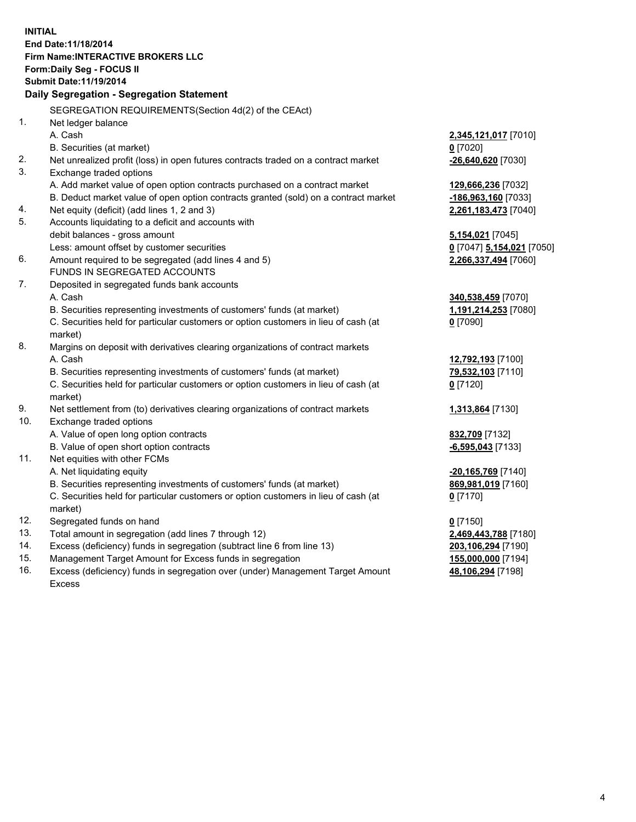**INITIAL End Date:11/18/2014 Firm Name:INTERACTIVE BROKERS LLC Form:Daily Seg - FOCUS II Submit Date:11/19/2014 Daily Segregation - Segregation Statement** SEGREGATION REQUIREMENTS(Section 4d(2) of the CEAct) 1. Net ledger balance A. Cash **2,345,121,017** [7010] B. Securities (at market) **0** [7020] 2. Net unrealized profit (loss) in open futures contracts traded on a contract market **-26,640,620** [7030] 3. Exchange traded options A. Add market value of open option contracts purchased on a contract market **129,666,236** [7032] B. Deduct market value of open option contracts granted (sold) on a contract market **-186,963,160** [7033] 4. Net equity (deficit) (add lines 1, 2 and 3) **2,261,183,473** [7040] 5. Accounts liquidating to a deficit and accounts with debit balances - gross amount **5,154,021** [7045] Less: amount offset by customer securities **0** [7047] **5,154,021** [7050] 6. Amount required to be segregated (add lines 4 and 5) **2,266,337,494** [7060] FUNDS IN SEGREGATED ACCOUNTS 7. Deposited in segregated funds bank accounts A. Cash **340,538,459** [7070] B. Securities representing investments of customers' funds (at market) **1,191,214,253** [7080] C. Securities held for particular customers or option customers in lieu of cash (at market) **0** [7090] 8. Margins on deposit with derivatives clearing organizations of contract markets A. Cash **12,792,193** [7100] B. Securities representing investments of customers' funds (at market) **79,532,103** [7110] C. Securities held for particular customers or option customers in lieu of cash (at market) **0** [7120] 9. Net settlement from (to) derivatives clearing organizations of contract markets **1,313,864** [7130] 10. Exchange traded options A. Value of open long option contracts **832,709** [7132] B. Value of open short option contracts **-6,595,043** [7133] 11. Net equities with other FCMs A. Net liquidating equity **-20,165,769** [7140] B. Securities representing investments of customers' funds (at market) **869,981,019** [7160] C. Securities held for particular customers or option customers in lieu of cash (at market) **0** [7170] 12. Segregated funds on hand **0** [7150] 13. Total amount in segregation (add lines 7 through 12) **2,469,443,788** [7180] 14. Excess (deficiency) funds in segregation (subtract line 6 from line 13) **203,106,294** [7190] 15. Management Target Amount for Excess funds in segregation **155,000,000** [7194]

16. Excess (deficiency) funds in segregation over (under) Management Target Amount Excess

**48,106,294** [7198]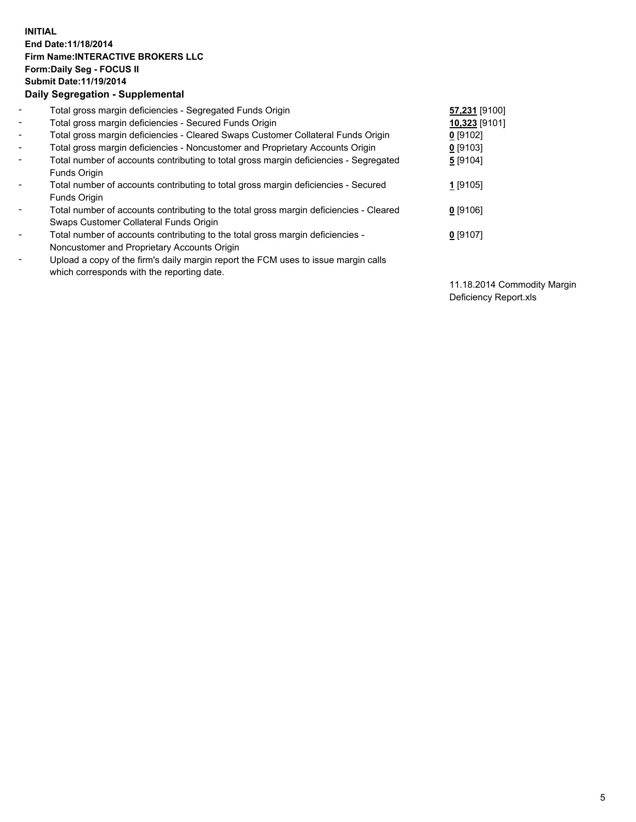## **INITIAL End Date:11/18/2014 Firm Name:INTERACTIVE BROKERS LLC Form:Daily Seg - FOCUS II Submit Date:11/19/2014 Daily Segregation - Supplemental**

| $\blacksquare$           | Total gross margin deficiencies - Segregated Funds Origin                              | 57,231 [9100] |
|--------------------------|----------------------------------------------------------------------------------------|---------------|
| $\blacksquare$           | Total gross margin deficiencies - Secured Funds Origin                                 | 10,323 [9101] |
| $\blacksquare$           | Total gross margin deficiencies - Cleared Swaps Customer Collateral Funds Origin       | $0$ [9102]    |
| $\blacksquare$           | Total gross margin deficiencies - Noncustomer and Proprietary Accounts Origin          | $0$ [9103]    |
| $\blacksquare$           | Total number of accounts contributing to total gross margin deficiencies - Segregated  | 5 [9104]      |
|                          | <b>Funds Origin</b>                                                                    |               |
| $\blacksquare$           | Total number of accounts contributing to total gross margin deficiencies - Secured     | $1$ [9105]    |
|                          | <b>Funds Origin</b>                                                                    |               |
| $\blacksquare$           | Total number of accounts contributing to the total gross margin deficiencies - Cleared | $0$ [9106]    |
|                          | Swaps Customer Collateral Funds Origin                                                 |               |
| $\blacksquare$           | Total number of accounts contributing to the total gross margin deficiencies -         | $0$ [9107]    |
|                          | Noncustomer and Proprietary Accounts Origin                                            |               |
| $\overline{\phantom{a}}$ | Upload a copy of the firm's daily margin report the FCM uses to issue margin calls     |               |
|                          | which corresponds with the reporting date.                                             |               |

11.18.2014 Commodity Margin Deficiency Report.xls